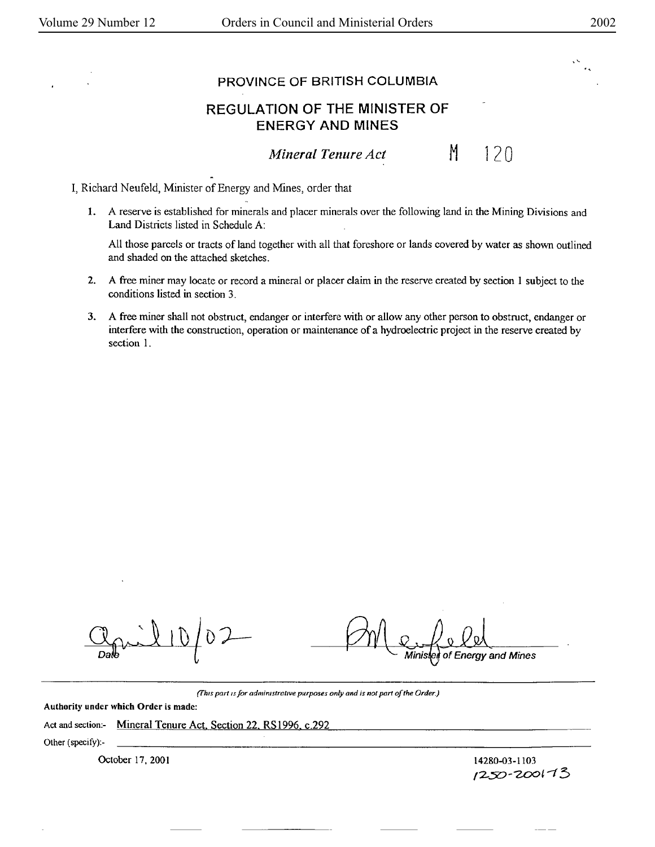$\frac{1}{2}$ 

## PROVINCE OF BRITISH **COLUMBIA**

## REGULATION OF THE **MINISTER** OF ENERGY **AND MINES**

*Mineral Tenure Act* 

120

M

I, Richard Neufeld, Minister of Energy and Mines, order that

1. A reserve is established for minerals and placer minerals over the following land in the Mining Divisions and Land Districts listed in Schedule A:

All those parcels or tracts of land together with all that foreshore or lands covered by water as shown outlined and shaded on the attached sketches.

- 2. A free miner may locate or record a mineral or placer claim in the reserve created by section I subject to the conditions listed in section 3.
- 3. A free miner shall not obstruct, endanger or interfere with or allow any other person to obstruct, endanger or interfere with the construction, operation or maintenance of a hydroelectric project in the reserve created by section I.

of Energy and Mines

*(fh1s part ,s for admirustrat111e purposes only and is not part of the Order.)* 

Authority under which Order is made:

Act and section:- Mineral Tenure Act, Section 22, RS1996, c.292

Other (specify):-

October 17, 2001 **14280-03-1103** 14280-03-1103

1250-200173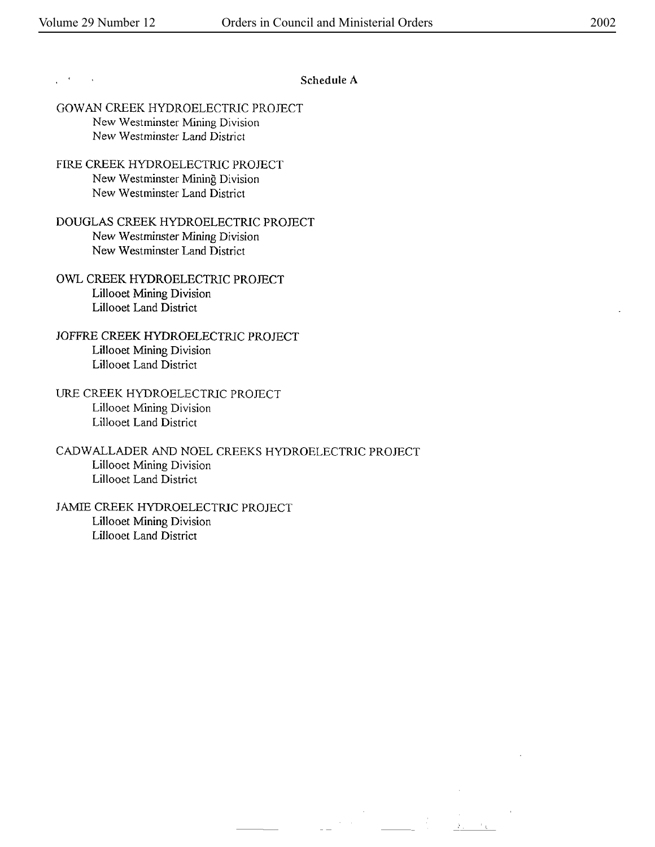$\sim 100$ 

## **Schedule A**

 $\hat{\mathcal{A}}=\hat{\mathcal{A}}$ 

- GOW AN CREEK HYDROELECTRIC PROJECT New Westminster Mining Division New Westminster Land District
- FlRE CREEK HYDROELECTRIC PROJECT New Westminster Mining Division New Westminster Land District
- DOUGLAS CREEK HYDROELECTRIC PROJECT New Westminster Mining Division New Westminster Land District
- OWL CREEK HYDROELECTRIC PROJECT Lillooet Mining Division Lillooet Land District
- JOFFRE CREEK HYDROELECTRIC PROJECT Lillooet Mining Division Lillooet Land District
- URE CREEK HYDROELECTRIC PROJECT Lillooet Mining Division Lillooet Land District
- CADWALLADER AND NOEL CREEKS HYDROELECTRIC PROJECT Lillooet Mining Division Lillooet Land District
- JAMIE CREEK HYDROELECTRIC PROJECT Lillooet Mining Division Lillooet Land District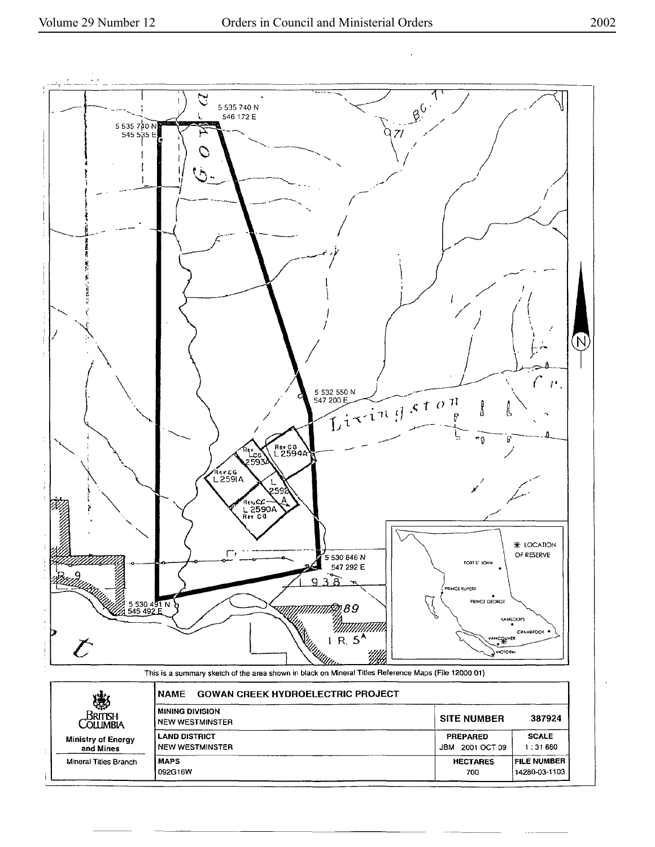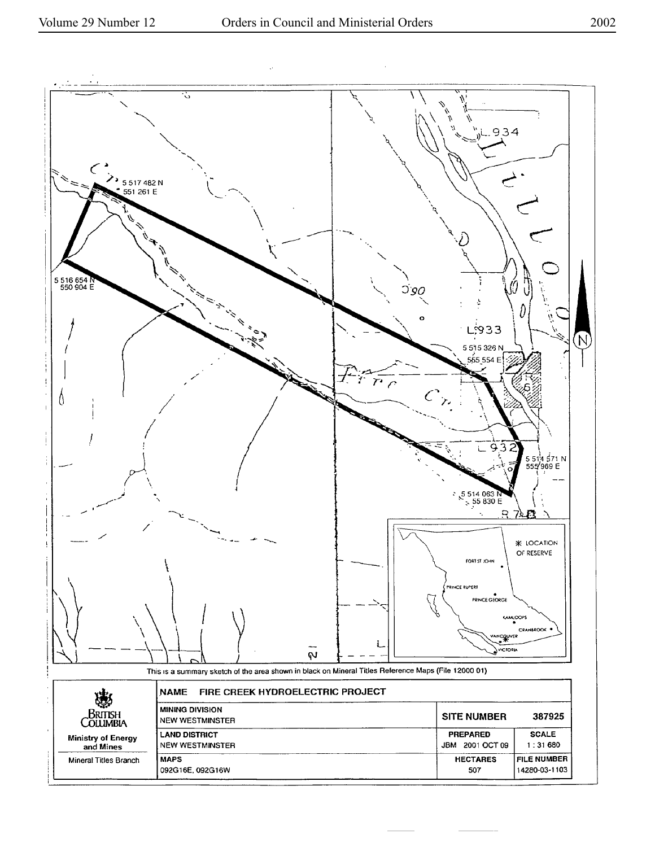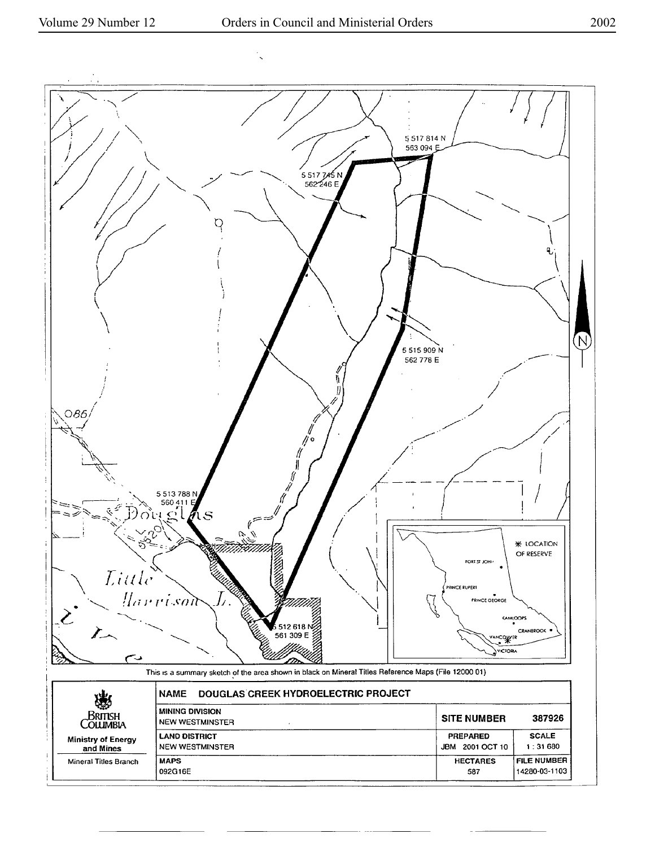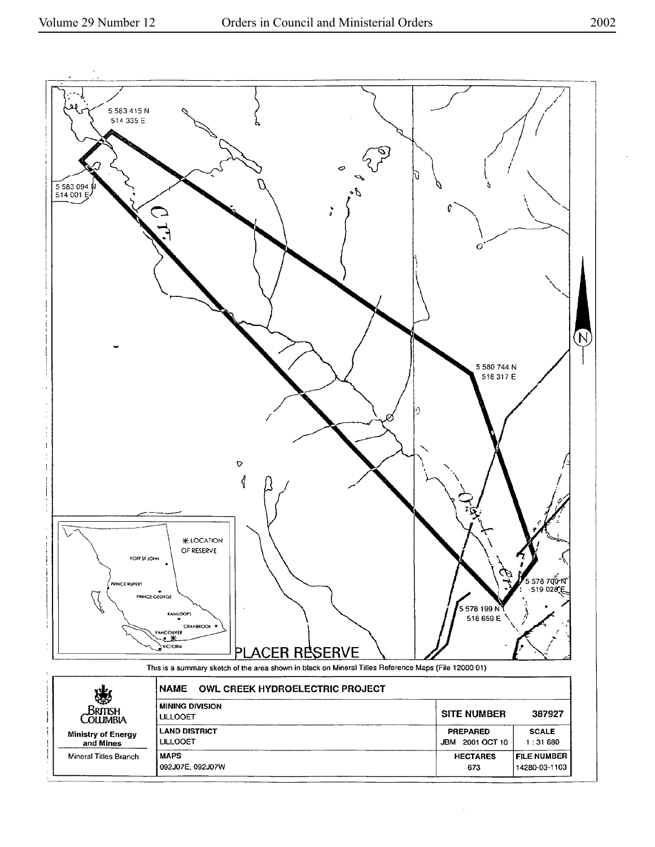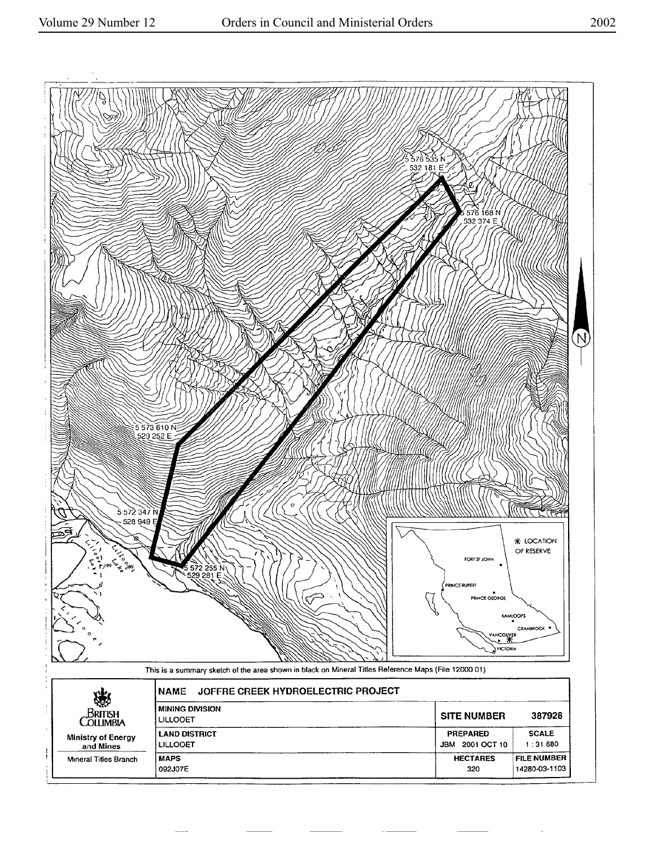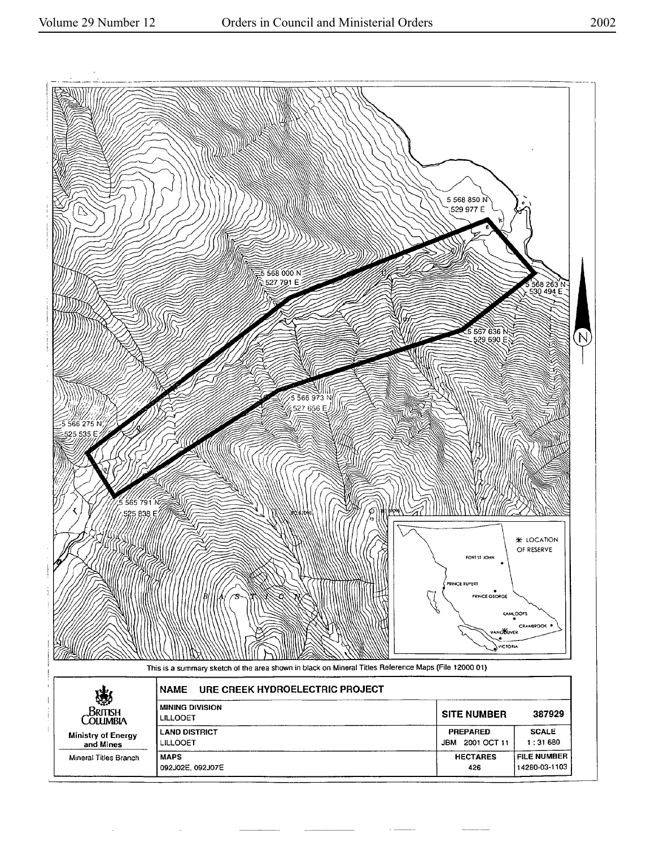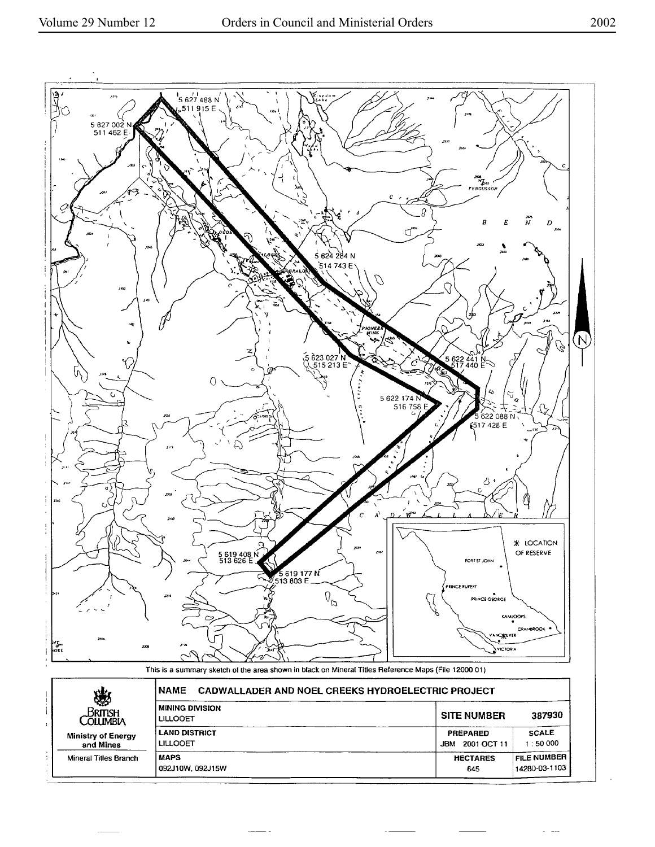

 $\sim$   $\sim$   $\sim$